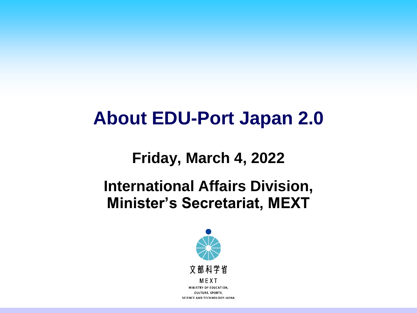## **About EDU-Port Japan 2.0**

## **Friday, March 4, 2022**

## **International Affairs Division, Minister's Secretariat, MEXT**

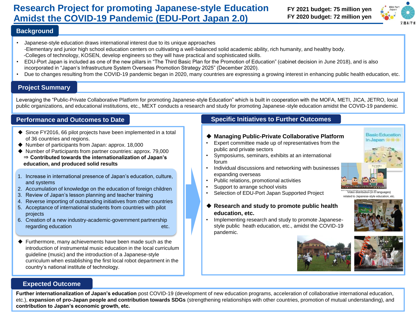#### **Research Project for promoting Japanese-style Education FY 2021 budget: 75 million yen Amidst the COVID-19 Pandemic (EDU-Port Japan 2.0)**

**FY 2020 budget: 72 million yen** 



#### **Background**

- Japanese-style education draws international interest due to its unique approaches -Elementary and junior high school education centers on cultivating a well-balanced solid academic ability, rich humanity, and healthy body. -Colleges of technology, KOSEN, develop engineers so they will have practical and sophisticated skills.
- EDU-Port Japan is included as one of the new pillars in "The Third Basic Plan for the Promotion of Education" (cabinet decision in June 2018), and is also incorporated in "Japan's Infrastructure System Overseas Promotion Strategy 2025" (December 2020).
- Due to changes resulting from the COVID-19 pandemic began in 2020, many countries are expressing a growing interest in enhancing public health education, etc.

#### **Project Summary**

Leveraging the "Public-Private Collaborative Platform for promoting Japanese-style Education" which is built in cooperation with the MOFA, METI, JICA, JETRO, local public organizations, and educational institutions, etc., MEXT conducts a research and study for promoting Japanese-style education amidst the COVID-19 pandemic.

#### **Performance and Outcomes to Date**

- ◆ Since FY2016, 66 pilot projects have been implemented in a total of 36 countries and regions.
- ◆ Number of participants from Japan: approx. 18,000
- ◆ Number of Participants from partner countries: approx. 79,000 ⇒ **Contributed towards the internationalization of Japan's education, and produced solid results**
- 1. Increase in international presence of Japan's education, culture, and systems
- 2. Accumulation of knowledge on the education of foreign children
- 3. Review of Japan's lesson planning and teacher training
- 4. Reverse importing of outstanding initiatives from other countries
- 5. Acceptance of international students from countries with pilot projects
- 6. Creation of a new industry-academic-government partnership regarding education etc.
- ◆ Furthermore, many achievements have been made such as the introduction of instrumental music education in the local curriculum guideline (music) and the introduction of a Japanese-style curriculum when establishing the first local robot department in the country's national institute of technology.

#### **Specific Initiatives to Further Outcomes**

#### ◆ **Managing Public-Private Collaborative Platform**

- Expert committee made up of representatives from the public and private sectors
- Symposiums, seminars, exhibits at an international forum
- Individual discussions and networking with businesses expanding overseas
- Public relations, promotional activities
- Support to arrange school visits
- Selection of EDU-Port Japan Supported Project
- ◆ **Research and study to promote public health education, etc.**
- Implementing research and study to promote Japanesestyle public heath education, etc., amidst the COVID-19 pandemic.





#### **Expected Outcome**

**Further internationalization of Japan's education** post COVID-19 (development of new education programs, acceleration of collaborative international education, etc.), **expansion of pro-Japan people and contribution towards SDGs** (strengthening relationships with other countries, promotion of mutual understanding), and **contribution to Japan's economic growth, etc.** 



Video distribution (in 8 languages) related to Japanese-style education, etc.

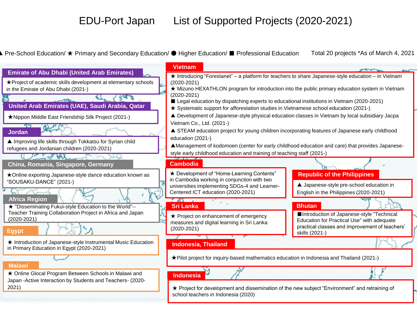#### EDU-Port Japan List of Supported Projects (2020-2021)

Pre-School Education/ ★ Primary and Secondary Education/ ● Higher Education/ ■ Professional Education Total 20 projects \*As of March 4, 2021

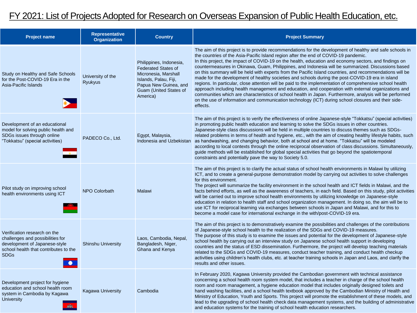### FY 2021: List of Projects Adopted for Research on Overseas Expansion of Public Health Education, etc.

| <b>Project name</b>                                                                                                                                       | <b>Representative</b><br><b>Organization</b> | <b>Country</b>                                                                                                                                                        | <b>Project Summary</b>                                                                                                                                                                                                                                                                                                                                                                                                                                                                                                                                                                                                                                                                                                                                                                                                                                                                                                                                                                                                                                                            |
|-----------------------------------------------------------------------------------------------------------------------------------------------------------|----------------------------------------------|-----------------------------------------------------------------------------------------------------------------------------------------------------------------------|-----------------------------------------------------------------------------------------------------------------------------------------------------------------------------------------------------------------------------------------------------------------------------------------------------------------------------------------------------------------------------------------------------------------------------------------------------------------------------------------------------------------------------------------------------------------------------------------------------------------------------------------------------------------------------------------------------------------------------------------------------------------------------------------------------------------------------------------------------------------------------------------------------------------------------------------------------------------------------------------------------------------------------------------------------------------------------------|
| Study on Healthy and Safe Schools<br>for the Post-COVID-19 Era in the<br>Asia-Pacific Islands                                                             | University of the<br>Ryukyus                 | Philippines, Indonesia,<br><b>Federated States of</b><br>Micronesia, Marshall<br>Islands, Palau, Fiji,<br>Papua New Guinea, and<br>Guam (United States of<br>America) | The aim of this project is to provide recommendations for the development of healthy and safe schools in<br>the countries of the Asia-Pacific Island region after the end of COVID-19 pandemic.<br>In this project, the impact of COVID-19 on the health, education and economy sectors, and findings on<br>countermeasures in Okinawa, Guam, Philippines, and Indonesia will be summarized. Discussions based<br>on this summary will be held with experts from the Pacific Island countries, and recommendations will be<br>made for the development of healthy societies and schools during the post-COVID-19 era in island<br>regions. In particular, close attention will be paid to the implementation of comprehensive school health<br>approach including health management and education, and cooperation with external organizations and<br>communities which are characteristics of school health in Japan. Furthermore, analysis will be performed<br>on the use of information and communication technology (ICT) during school closures and their side-<br>effects. |
| Development of an educational<br>model for solving public health and<br>SDGs issues through online<br>"Tokkatsu" (special activities)                     | PADECO Co., Ltd.                             | Egypt, Malaysia,<br>Indonesia and Uzbekistan                                                                                                                          | The aim of this project is to verify the effectiveness of online Japanese-style "Tokkatsu" (special activities)<br>in promoting public health education and learning to solve the SDGs issues in other countries.<br>Japanese-style class discussions will be held in multiple countries to discuss themes such as SDGs-<br>related problems in terms of health and hygiene, etc., with the aim of creating healthy lifestyle habits, such<br>as handwashing, and changing behavior, both at school and at home. "Tokkatsu" will be modeled<br>according to local contexts through the online reciprocal observation of class discussions. Simultaneously,<br>guide methods will be established for global special activities that go beyond the spatiotemporal<br>constraints and potentially pave the way to Society 5.0.                                                                                                                                                                                                                                                       |
| Pilot study on improving school<br>health environments using ICT                                                                                          | <b>NPO Colorbath</b>                         | Malawi                                                                                                                                                                | The aim of this project is to clarify the actual status of school health environments in Malawi by utilizing<br>ICT, and to create a general-purpose demonstration model by carrying out activities to solve challenges<br>for this environment.<br>The project will summarize the facility environment in the school health and ICT fields in Malawi, and the<br>facts behind efforts, as well as the awareness of teachers, in each field. Based on this study, pilot activities<br>will be carried out to improve school health environments by utilizing knowledge on Japanese-style<br>education in relation to health staff and school organization management. In doing so, the aim will be to<br>use ICT for reciprocal learning via exchanges between schools in Japan and Malawi, and for this to<br>become a model case for international exchange in the with/post-COVID-19 era.                                                                                                                                                                                      |
| Verification research on the<br>challenges and possibilities for<br>development of Japanese-style<br>school health that contributes to the<br><b>SDGs</b> | <b>Shinshu University</b>                    | Laos, Cambodia, Nepal,<br>Bangladesh, Niger,<br>Ghana and Kenya                                                                                                       | The aim of this project is to demonstratively examine the possibilities and challenges of the contributions<br>of Japanese-style school health to the realization of the SDGs and COVID-19 measures.<br>The purpose of this study is to examine the issues and potential for the development of Japanese-style<br>school health by carrying out an interview study on Japanese school health support in developing<br>countries and the status of ESD dissemination. Furthermore, the project will develop teaching materials<br>related to the SDGs and COVID-19 measures, conduct teacher training, and conduct health checkup<br>activities using children's health clubs, etc. at teacher training schools in Japan and Laos, and clarify the<br>results and other issues.                                                                                                                                                                                                                                                                                                    |
| Development project for hygiene<br>education and school health room<br>system in Cambodia by Kagawa<br><b>University</b>                                  | <b>Kagawa University</b>                     | Cambodia                                                                                                                                                              | In February 2020, Kagawa University provided the Cambodian government with technical assistance<br>concerning a school health room system model, that includes a teacher in charge of the school health<br>room and room management, a hygiene education model that includes originally designed toilets and<br>hand washing facilities, and a school health textbook approved by the Cambodian Ministry of Health and<br>Ministry of Education, Youth and Sports. This project will promote the establishment of these models, and<br>lead to the upgrading of school health check data management systems, and the building of administrative<br>and education systems for the training of school health education researchers.                                                                                                                                                                                                                                                                                                                                                 |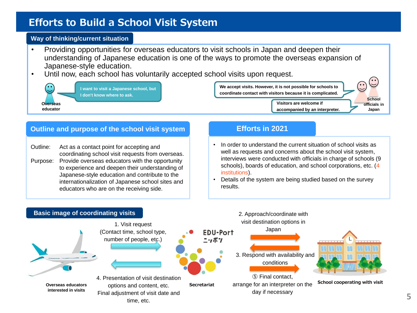#### **Efforts to Build a School Visit System**

#### **Way of thinking/current situation**

- Providing opportunities for overseas educators to visit schools in Japan and deepen their understanding of Japanese education is one of the ways to promote the overseas expansion of Japanese-style education.
- Until now, each school has voluntarily accepted school visits upon request.



#### **Outline and purpose of the school visit system Efforts in 2021**

Outline: Act as a contact point for accepting and coordinating school visit requests from overseas. Purpose: Provide overseas educators with the opportunity to experience and deepen their understanding of Japanese-style education and contribute to the internationalization of Japanese school sites and educators who are on the receiving side.

• In order to understand the current situation of school visits as well as requests and concerns about the school visit system, interviews were conducted with officials in charge of schools (9 schools), boards of education, and school corporations, etc. (4 institutions).

• Details of the system are being studied based on the survey results.

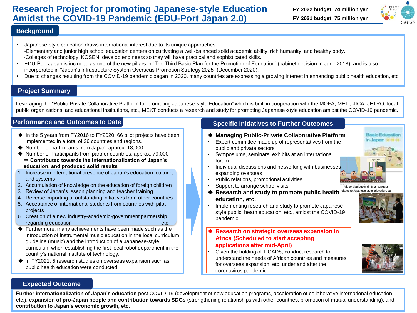#### **Research Project for promoting Japanese-style Education FY 2022 budget: 74 million yen Amidst the COVID-19 Pandemic (EDU-Port Japan 2.0)**

## **FY 2021 budget: 75 million yen**



#### **Background**

- Japanese-style education draws international interest due to its unique approaches -Elementary and junior high school education centers on cultivating a well-balanced solid academic ability, rich humanity, and healthy body. -Colleges of technology, KOSEN, develop engineers so they will have practical and sophisticated skills.
- EDU-Port Japan is included as one of the new pillars in "The Third Basic Plan for the Promotion of Education" (cabinet decision in June 2018), and is also incorporated in "Japan's Infrastructure System Overseas Promotion Strategy 2025" (December 2020).
- Due to changes resulting from the COVID-19 pandemic began in 2020, many countries are expressing a growing interest in enhancing public health education, etc.

#### **Project Summary**

Leveraging the "Public-Private Collaborative Platform for promoting Japanese-style Education" which is built in cooperation with the MOFA, METI, JICA, JETRO, local public organizations, and educational institutions, etc., MEXT conducts a research and study for promoting Japanese-style education amidst the COVID-19 pandemic.

#### **Performance and Outcomes to Date**

- ◆ In the 5 years from FY2016 to FY2020, 66 pilot projects have been implemented in a total of 36 countries and regions.
- ◆ Number of participants from Japan: approx. 18,000
- ◆ Number of Participants from partner countries: approx. 79,000 ⇒ **Contributed towards the internationalization of Japan's education, and produced solid results**
- 1. Increase in international presence of Japan's education, culture, and systems
- 2. Accumulation of knowledge on the education of foreign children
- 3. Review of Japan's lesson planning and teacher training
- 4. Reverse importing of outstanding initiatives from other countries
- 5. Acceptance of international students from countries with pilot projects
- 6. Creation of a new industry-academic-government partnership regarding education etc.
- ◆ Furthermore, many achievements have been made such as the introduction of instrumental music education in the local curriculum guideline (music) and the introduction of a Japanese-style curriculum when establishing the first local robot department in the country's national institute of technology.
- ◆ In FY2021, 5 research studies on overseas expansion such as public health education were conducted.

#### **Specific Initiatives to Further Outcomes**

#### ◆ **Managing Public-Private Collaborative Platform**

- Expert committee made up of representatives from the public and private sectors
- Symposiums, seminars, exhibits at an international forum
- Individual discussions and networking with businesses expanding overseas
- Public relations, promotional activities
- Support to arrange school visits
- ◆ Research and study to promote public health **education, etc.**
- Implementing research and study to promote Japanesestyle public heath education, etc., amidst the COVID-19 pandemic.

#### **Research on strategic overseas expansion in Africa (Scheduled to start accepting applications after mid-April)**

• Given the holding of TICAD8, conduct research to understand the needs of African countries and measures for overseas expansion, etc. under and after the coronavirus pandemic.



#### **Expected Outcome**

**Further internationalization of Japan's education** post COVID-19 (development of new education programs, acceleration of collaborative international education, etc.), **expansion of pro-Japan people and contribution towards SDGs** (strengthening relationships with other countries, promotion of mutual understanding), and **contribution to Japan's economic growth, etc.** 



Basic Education